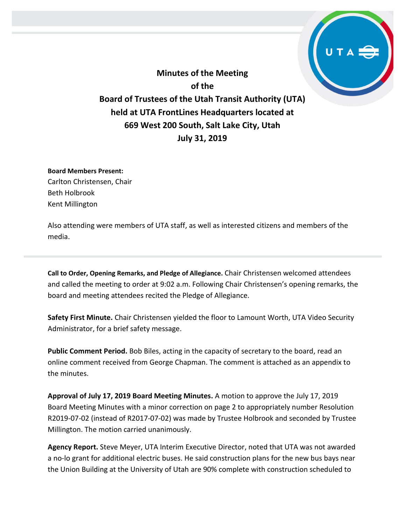**Minutes of the Meeting of the Board of Trustees of the Utah Transit Authority (UTA) held at UTA FrontLines Headquarters located at 669 West 200 South, Salt Lake City, Utah July 31, 2019**

**Board Members Present:**

Carlton Christensen, Chair Beth Holbrook Kent Millington

Also attending were members of UTA staff, as well as interested citizens and members of the media.

**Call to Order, Opening Remarks, and Pledge of Allegiance.** Chair Christensen welcomed attendees and called the meeting to order at 9:02 a.m. Following Chair Christensen's opening remarks, the board and meeting attendees recited the Pledge of Allegiance.

**Safety First Minute.** Chair Christensen yielded the floor to Lamount Worth, UTA Video Security Administrator, for a brief safety message.

**Public Comment Period.** Bob Biles, acting in the capacity of secretary to the board, read an online comment received from George Chapman. The comment is attached as an appendix to the minutes.

**Approval of July 17, 2019 Board Meeting Minutes.** A motion to approve the July 17, 2019 Board Meeting Minutes with a minor correction on page 2 to appropriately number Resolution R2019-07-02 (instead of R2017-07-02) was made by Trustee Holbrook and seconded by Trustee Millington. The motion carried unanimously.

**Agency Report.** Steve Meyer, UTA Interim Executive Director, noted that UTA was not awarded a no-lo grant for additional electric buses. He said construction plans for the new bus bays near the Union Building at the University of Utah are 90% complete with construction scheduled to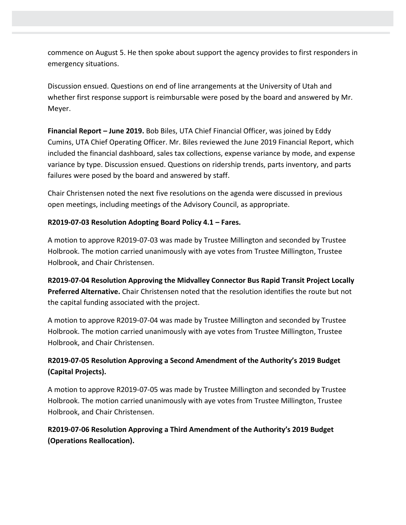commence on August 5. He then spoke about support the agency provides to first responders in emergency situations.

Discussion ensued. Questions on end of line arrangements at the University of Utah and whether first response support is reimbursable were posed by the board and answered by Mr. Meyer.

**Financial Report – June 2019.** Bob Biles, UTA Chief Financial Officer, was joined by Eddy Cumins, UTA Chief Operating Officer. Mr. Biles reviewed the June 2019 Financial Report, which included the financial dashboard, sales tax collections, expense variance by mode, and expense variance by type. Discussion ensued. Questions on ridership trends, parts inventory, and parts failures were posed by the board and answered by staff.

Chair Christensen noted the next five resolutions on the agenda were discussed in previous open meetings, including meetings of the Advisory Council, as appropriate.

## **R2019-07-03 Resolution Adopting Board Policy 4.1 – Fares.**

A motion to approve R2019-07-03 was made by Trustee Millington and seconded by Trustee Holbrook. The motion carried unanimously with aye votes from Trustee Millington, Trustee Holbrook, and Chair Christensen.

**R2019-07-04 Resolution Approving the Midvalley Connector Bus Rapid Transit Project Locally Preferred Alternative.** Chair Christensen noted that the resolution identifies the route but not the capital funding associated with the project.

A motion to approve R2019-07-04 was made by Trustee Millington and seconded by Trustee Holbrook. The motion carried unanimously with aye votes from Trustee Millington, Trustee Holbrook, and Chair Christensen.

## **R2019-07-05 Resolution Approving a Second Amendment of the Authority's 2019 Budget (Capital Projects).**

A motion to approve R2019-07-05 was made by Trustee Millington and seconded by Trustee Holbrook. The motion carried unanimously with aye votes from Trustee Millington, Trustee Holbrook, and Chair Christensen.

**R2019-07-06 Resolution Approving a Third Amendment of the Authority's 2019 Budget (Operations Reallocation).**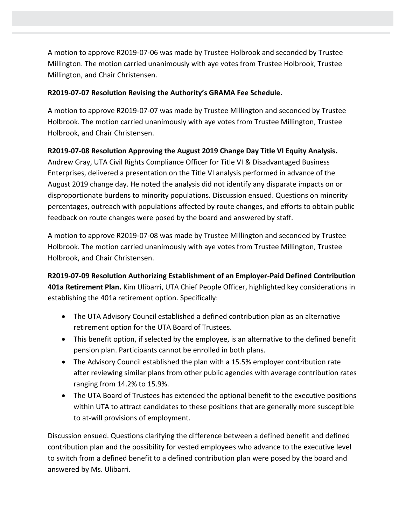A motion to approve R2019-07-06 was made by Trustee Holbrook and seconded by Trustee Millington. The motion carried unanimously with aye votes from Trustee Holbrook, Trustee Millington, and Chair Christensen.

## **R2019-07-07 Resolution Revising the Authority's GRAMA Fee Schedule.**

A motion to approve R2019-07-07 was made by Trustee Millington and seconded by Trustee Holbrook. The motion carried unanimously with aye votes from Trustee Millington, Trustee Holbrook, and Chair Christensen.

## **R2019-07-08 Resolution Approving the August 2019 Change Day Title VI Equity Analysis.**

Andrew Gray, UTA Civil Rights Compliance Officer for Title VI & Disadvantaged Business Enterprises, delivered a presentation on the Title VI analysis performed in advance of the August 2019 change day. He noted the analysis did not identify any disparate impacts on or disproportionate burdens to minority populations. Discussion ensued. Questions on minority percentages, outreach with populations affected by route changes, and efforts to obtain public feedback on route changes were posed by the board and answered by staff.

A motion to approve R2019-07-08 was made by Trustee Millington and seconded by Trustee Holbrook. The motion carried unanimously with aye votes from Trustee Millington, Trustee Holbrook, and Chair Christensen.

**R2019-07-09 Resolution Authorizing Establishment of an Employer-Paid Defined Contribution 401a Retirement Plan.** Kim Ulibarri, UTA Chief People Officer, highlighted key considerations in establishing the 401a retirement option. Specifically:

- The UTA Advisory Council established a defined contribution plan as an alternative retirement option for the UTA Board of Trustees.
- This benefit option, if selected by the employee, is an alternative to the defined benefit pension plan. Participants cannot be enrolled in both plans.
- The Advisory Council established the plan with a 15.5% employer contribution rate after reviewing similar plans from other public agencies with average contribution rates ranging from 14.2% to 15.9%.
- The UTA Board of Trustees has extended the optional benefit to the executive positions within UTA to attract candidates to these positions that are generally more susceptible to at-will provisions of employment.

Discussion ensued. Questions clarifying the difference between a defined benefit and defined contribution plan and the possibility for vested employees who advance to the executive level to switch from a defined benefit to a defined contribution plan were posed by the board and answered by Ms. Ulibarri.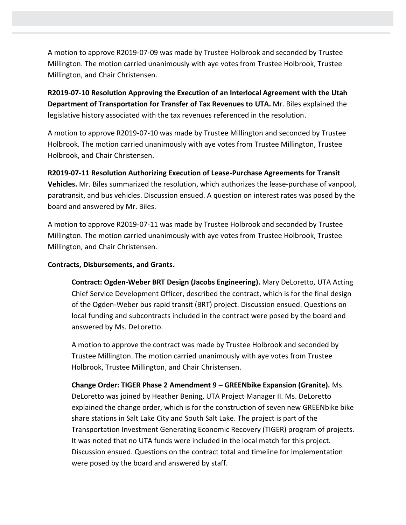A motion to approve R2019-07-09 was made by Trustee Holbrook and seconded by Trustee Millington. The motion carried unanimously with aye votes from Trustee Holbrook, Trustee Millington, and Chair Christensen.

**R2019-07-10 Resolution Approving the Execution of an Interlocal Agreement with the Utah Department of Transportation for Transfer of Tax Revenues to UTA.** Mr. Biles explained the legislative history associated with the tax revenues referenced in the resolution.

A motion to approve R2019-07-10 was made by Trustee Millington and seconded by Trustee Holbrook. The motion carried unanimously with aye votes from Trustee Millington, Trustee Holbrook, and Chair Christensen.

**R2019-07-11 Resolution Authorizing Execution of Lease-Purchase Agreements for Transit Vehicles.** Mr. Biles summarized the resolution, which authorizes the lease-purchase of vanpool, paratransit, and bus vehicles. Discussion ensued. A question on interest rates was posed by the board and answered by Mr. Biles.

A motion to approve R2019-07-11 was made by Trustee Holbrook and seconded by Trustee Millington. The motion carried unanimously with aye votes from Trustee Holbrook, Trustee Millington, and Chair Christensen.

### **Contracts, Disbursements, and Grants.**

**Contract: Ogden-Weber BRT Design (Jacobs Engineering).** Mary DeLoretto, UTA Acting Chief Service Development Officer, described the contract, which is for the final design of the Ogden-Weber bus rapid transit (BRT) project. Discussion ensued. Questions on local funding and subcontracts included in the contract were posed by the board and answered by Ms. DeLoretto.

A motion to approve the contract was made by Trustee Holbrook and seconded by Trustee Millington. The motion carried unanimously with aye votes from Trustee Holbrook, Trustee Millington, and Chair Christensen.

**Change Order: TIGER Phase 2 Amendment 9 – GREENbike Expansion (Granite).** Ms. DeLoretto was joined by Heather Bening, UTA Project Manager II. Ms. DeLoretto explained the change order, which is for the construction of seven new GREENbike bike share stations in Salt Lake City and South Salt Lake. The project is part of the Transportation Investment Generating Economic Recovery (TIGER) program of projects. It was noted that no UTA funds were included in the local match for this project. Discussion ensued. Questions on the contract total and timeline for implementation were posed by the board and answered by staff.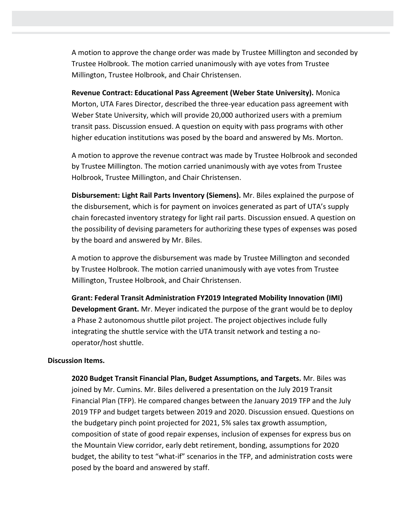A motion to approve the change order was made by Trustee Millington and seconded by Trustee Holbrook. The motion carried unanimously with aye votes from Trustee Millington, Trustee Holbrook, and Chair Christensen.

**Revenue Contract: Educational Pass Agreement (Weber State University).** Monica Morton, UTA Fares Director, described the three-year education pass agreement with Weber State University, which will provide 20,000 authorized users with a premium transit pass. Discussion ensued. A question on equity with pass programs with other higher education institutions was posed by the board and answered by Ms. Morton.

A motion to approve the revenue contract was made by Trustee Holbrook and seconded by Trustee Millington. The motion carried unanimously with aye votes from Trustee Holbrook, Trustee Millington, and Chair Christensen.

**Disbursement: Light Rail Parts Inventory (Siemens).** Mr. Biles explained the purpose of the disbursement, which is for payment on invoices generated as part of UTA's supply chain forecasted inventory strategy for light rail parts. Discussion ensued. A question on the possibility of devising parameters for authorizing these types of expenses was posed by the board and answered by Mr. Biles.

A motion to approve the disbursement was made by Trustee Millington and seconded by Trustee Holbrook. The motion carried unanimously with aye votes from Trustee Millington, Trustee Holbrook, and Chair Christensen.

**Grant: Federal Transit Administration FY2019 Integrated Mobility Innovation (IMI) Development Grant.** Mr. Meyer indicated the purpose of the grant would be to deploy a Phase 2 autonomous shuttle pilot project. The project objectives include fully integrating the shuttle service with the UTA transit network and testing a nooperator/host shuttle.

#### **Discussion Items.**

**2020 Budget Transit Financial Plan, Budget Assumptions, and Targets.** Mr. Biles was joined by Mr. Cumins. Mr. Biles delivered a presentation on the July 2019 Transit Financial Plan (TFP). He compared changes between the January 2019 TFP and the July 2019 TFP and budget targets between 2019 and 2020. Discussion ensued. Questions on the budgetary pinch point projected for 2021, 5% sales tax growth assumption, composition of state of good repair expenses, inclusion of expenses for express bus on the Mountain View corridor, early debt retirement, bonding, assumptions for 2020 budget, the ability to test "what-if" scenarios in the TFP, and administration costs were posed by the board and answered by staff.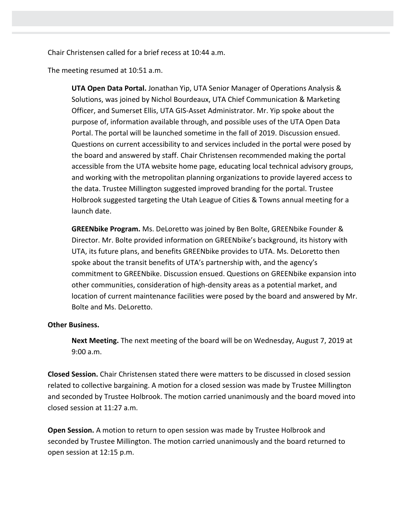Chair Christensen called for a brief recess at 10:44 a.m.

The meeting resumed at 10:51 a.m.

**UTA Open Data Portal.** Jonathan Yip, UTA Senior Manager of Operations Analysis & Solutions, was joined by Nichol Bourdeaux, UTA Chief Communication & Marketing Officer, and Sumerset Ellis, UTA GIS-Asset Administrator. Mr. Yip spoke about the purpose of, information available through, and possible uses of the UTA Open Data Portal. The portal will be launched sometime in the fall of 2019. Discussion ensued. Questions on current accessibility to and services included in the portal were posed by the board and answered by staff. Chair Christensen recommended making the portal accessible from the UTA website home page, educating local technical advisory groups, and working with the metropolitan planning organizations to provide layered access to the data. Trustee Millington suggested improved branding for the portal. Trustee Holbrook suggested targeting the Utah League of Cities & Towns annual meeting for a launch date.

**GREENbike Program.** Ms. DeLoretto was joined by Ben Bolte, GREENbike Founder & Director. Mr. Bolte provided information on GREENbike's background, its history with UTA, its future plans, and benefits GREENbike provides to UTA. Ms. DeLoretto then spoke about the transit benefits of UTA's partnership with, and the agency's commitment to GREENbike. Discussion ensued. Questions on GREENbike expansion into other communities, consideration of high-density areas as a potential market, and location of current maintenance facilities were posed by the board and answered by Mr. Bolte and Ms. DeLoretto.

#### **Other Business.**

**Next Meeting.** The next meeting of the board will be on Wednesday, August 7, 2019 at 9:00 a.m.

**Closed Session.** Chair Christensen stated there were matters to be discussed in closed session related to collective bargaining. A motion for a closed session was made by Trustee Millington and seconded by Trustee Holbrook. The motion carried unanimously and the board moved into closed session at 11:27 a.m.

**Open Session.** A motion to return to open session was made by Trustee Holbrook and seconded by Trustee Millington. The motion carried unanimously and the board returned to open session at 12:15 p.m.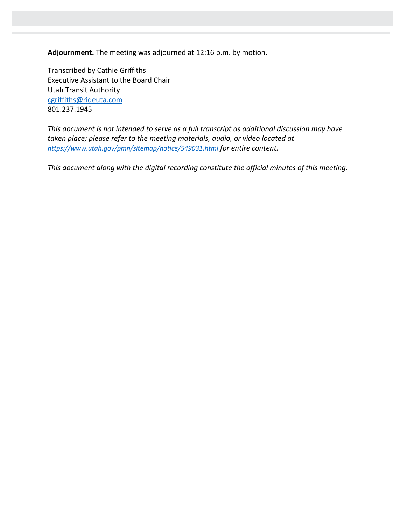**Adjournment.** The meeting was adjourned at 12:16 p.m. by motion.

Transcribed by Cathie Griffiths Executive Assistant to the Board Chair Utah Transit Authority [cgriffiths@rideuta.com](mailto:cgriffiths@rideuta.com) 801.237.1945

*This document is not intended to serve as a full transcript as additional discussion may have taken place; please refer to the meeting materials, audio, or video located at <https://www.utah.gov/pmn/sitemap/notice/549031.html> for entire content.*

*This document along with the digital recording constitute the official minutes of this meeting.*